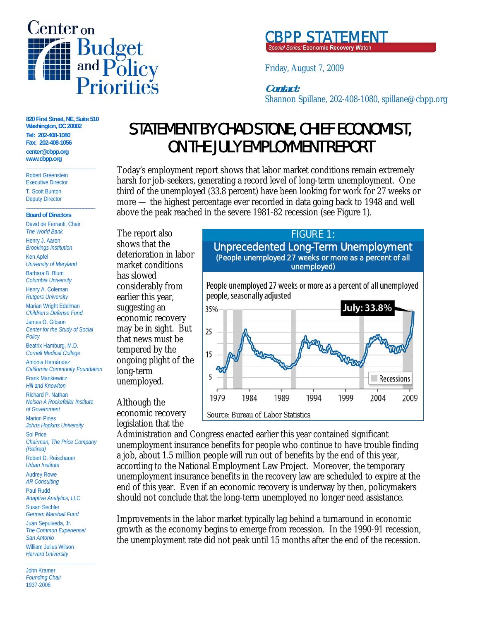



 $\overline{f}$ Friday, August 7, 2009

## **Contact:**

 $\mathbf{I}$ Shannon Spillane, 202-408-1080, spillane@cbpp.org

**820 First Street, NE, Suite 510 Washington, DC 20002 Tel: 202-408-1080 Fax: 202-408-1056 center@cbpp.org www.cbpp.org \_\_\_\_\_\_\_\_\_\_\_\_\_\_\_\_\_\_\_\_\_\_\_\_** 

Robert Greenstein Executive Director T. Scott Bunton Deputy Director

#### **Board of Directors**

**\_\_\_\_\_\_\_\_\_\_\_\_\_\_\_\_\_\_\_\_\_\_\_\_**

David de Ferranti, Chair *The World Bank* Henry J. Aaron *Brookings Institution* Ken Apfel *University of Maryland* Barbara B. Blum

*Columbia University* Henry A. Coleman *Rutgers University*

Marian Wright Edelman *Children's Defense Fund*

James O. Gibson *Center for the Study of Social Policy*

Beatrix Hamburg, M.D. *Cornell Medical College*

Antonia Hernández *California Community Foundation* Frank Mankiewicz

*Hill and Knowlton*

Richard P. Nathan *Nelson A Rockefeller Institute of Government*

Marion Pines *Johns Hopkins University* Sol Price

*Chairman, The Price Company (Retired)*

Robert D. Reischauer *Urban Institute*

Audrey Rowe *AR Consulting*

Paul Rudd *Adaptive Analytics, LLC* Susan Sechler *German Marshall Fund* Juan Sepulveda, Jr. *The Common Experience/ San Antonio* William Julius Wilson *Harvard University*

**\_\_\_\_\_\_\_\_\_\_\_\_\_\_\_\_\_\_\_\_\_\_\_\_**

John Kramer *Founding Chair* 1937-2006

# STATEMENT BY CHAD STONE, CHIEF ECONOMIST, ON THE JULY EMPLOYMENT REPORT

Today's employment report shows that labor market conditions remain extremely harsh for job-seekers, generating a record level of long-term unemployment. One third of the unemployed (33.8 percent) have been looking for work for 27 weeks or more — the highest percentage ever recorded in data going back to 1948 and well above the peak reached in the severe 1981-82 recession (see Figure 1).

The report also shows that the deterioration in labor market conditions has slowed considerably from earlier this year, suggesting an economic recovery may be in sight. But that news must be tempered by the ongoing plight of the long-term unemployed.

Although the economic recovery legislation that the



Administration and Congress enacted earlier this year contained significant unemployment insurance benefits for people who continue to have trouble finding a job, about 1.5 million people will run out of benefits by the end of this year, according to the National Employment Law Project. Moreover, the temporary unemployment insurance benefits in the recovery law are scheduled to expire at the end of this year. Even if an economic recovery is underway by then, policymakers should not conclude that the long-term unemployed no longer need assistance.

Improvements in the labor market typically lag behind a turnaround in economic growth as the economy begins to emerge from recession. In the 1990-91 recession, the unemployment rate did not peak until 15 months after the end of the recession.